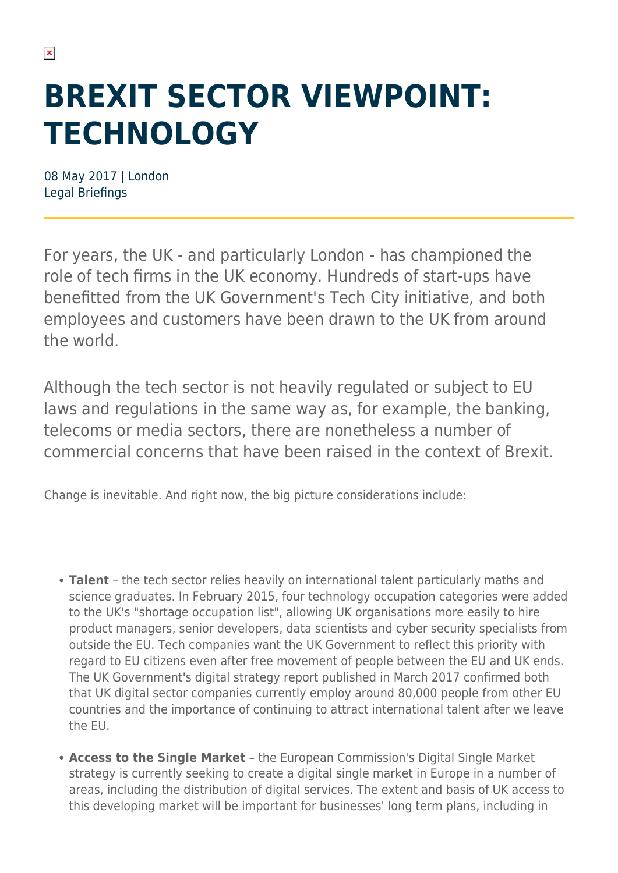# **BREXIT SECTOR VIEWPOINT: TECHNOLOGY**

08 May 2017 | London Legal Briefings

For years, the UK - and particularly London - has championed the role of tech firms in the UK economy. Hundreds of start-ups have benefitted from the UK Government's Tech City initiative, and both employees and customers have been drawn to the UK from around the world.

Although the tech sector is not heavily regulated or subject to EU laws and regulations in the same way as, for example, the banking, telecoms or media sectors, there are nonetheless a number of commercial concerns that have been raised in the context of Brexit.

Change is inevitable. And right now, the big picture considerations include:

- **Talent** the tech sector relies heavily on international talent particularly maths and science graduates. In February 2015, four technology occupation categories were added to the UK's "shortage occupation list", allowing UK organisations more easily to hire product managers, senior developers, data scientists and cyber security specialists from outside the EU. Tech companies want the UK Government to reflect this priority with regard to EU citizens even after free movement of people between the EU and UK ends. The UK Government's digital strategy report published in March 2017 confirmed both that UK digital sector companies currently employ around 80,000 people from other EU countries and the importance of continuing to attract international talent after we leave the EU.
- **Access to the Single Market** the European Commission's Digital Single Market strategy is currently seeking to create a digital single market in Europe in a number of areas, including the distribution of digital services. The extent and basis of UK access to this developing market will be important for businesses' long term plans, including in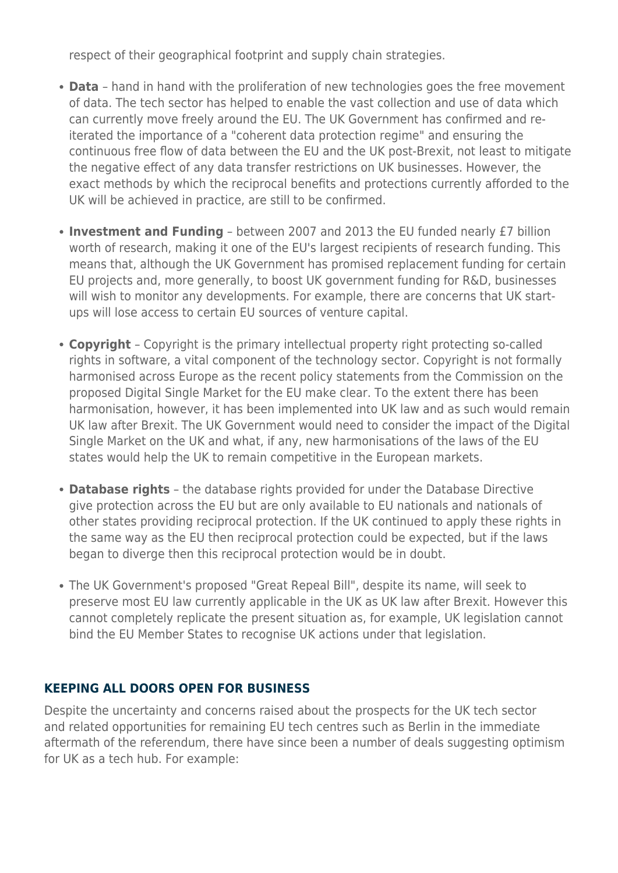respect of their geographical footprint and supply chain strategies.

- **Data** hand in hand with the proliferation of new technologies goes the free movement of data. The tech sector has helped to enable the vast collection and use of data which can currently move freely around the EU. The UK Government has confirmed and reiterated the importance of a "coherent data protection regime" and ensuring the continuous free flow of data between the EU and the UK post-Brexit, not least to mitigate the negative effect of any data transfer restrictions on UK businesses. However, the exact methods by which the reciprocal benefits and protections currently afforded to the UK will be achieved in practice, are still to be confirmed.
- **Investment and Funding** between 2007 and 2013 the EU funded nearly £7 billion worth of research, making it one of the EU's largest recipients of research funding. This means that, although the UK Government has promised replacement funding for certain EU projects and, more generally, to boost UK government funding for R&D, businesses will wish to monitor any developments. For example, there are concerns that UK startups will lose access to certain EU sources of venture capital.
- **Copyright** Copyright is the primary intellectual property right protecting so-called rights in software, a vital component of the technology sector. Copyright is not formally harmonised across Europe as the recent policy statements from the Commission on the proposed Digital Single Market for the EU make clear. To the extent there has been harmonisation, however, it has been implemented into UK law and as such would remain UK law after Brexit. The UK Government would need to consider the impact of the Digital Single Market on the UK and what, if any, new harmonisations of the laws of the EU states would help the UK to remain competitive in the European markets.
- **Database rights** the database rights provided for under the Database Directive give protection across the EU but are only available to EU nationals and nationals of other states providing reciprocal protection. If the UK continued to apply these rights in the same way as the EU then reciprocal protection could be expected, but if the laws began to diverge then this reciprocal protection would be in doubt.
- The UK Government's proposed "Great Repeal Bill", despite its name, will seek to preserve most EU law currently applicable in the UK as UK law after Brexit. However this cannot completely replicate the present situation as, for example, UK legislation cannot bind the EU Member States to recognise UK actions under that legislation.

#### **KEEPING ALL DOORS OPEN FOR BUSINESS**

Despite the uncertainty and concerns raised about the prospects for the UK tech sector and related opportunities for remaining EU tech centres such as Berlin in the immediate aftermath of the referendum, there have since been a number of deals suggesting optimism for UK as a tech hub. For example: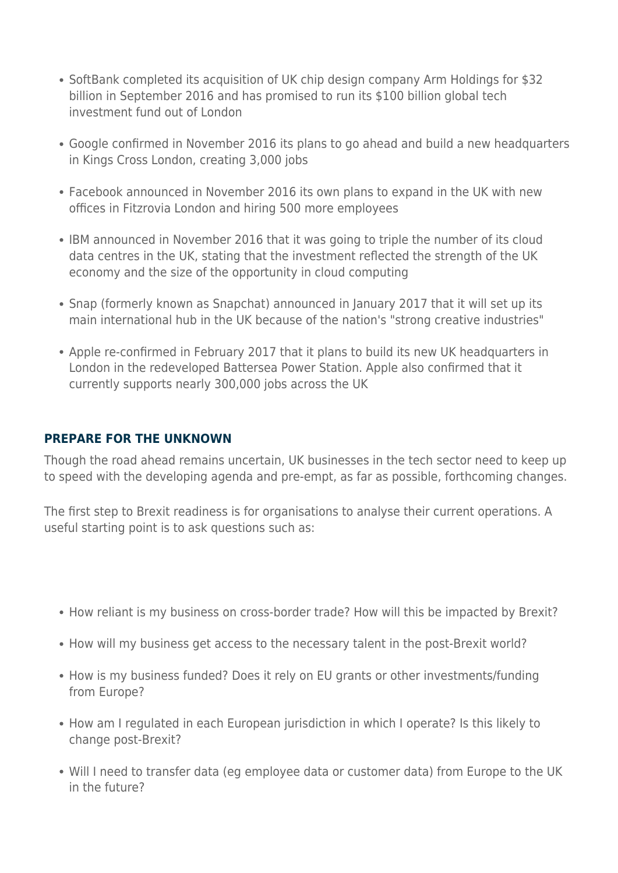- SoftBank completed its acquisition of UK chip design company Arm Holdings for \$32 billion in September 2016 and has promised to run its \$100 billion global tech investment fund out of London
- Google confirmed in November 2016 its plans to go ahead and build a new headquarters in Kings Cross London, creating 3,000 jobs
- Facebook announced in November 2016 its own plans to expand in the UK with new offices in Fitzrovia London and hiring 500 more employees
- IBM announced in November 2016 that it was going to triple the number of its cloud data centres in the UK, stating that the investment reflected the strength of the UK economy and the size of the opportunity in cloud computing
- Snap (formerly known as Snapchat) announced in January 2017 that it will set up its main international hub in the UK because of the nation's "strong creative industries"
- Apple re-confirmed in February 2017 that it plans to build its new UK headquarters in London in the redeveloped Battersea Power Station. Apple also confirmed that it currently supports nearly 300,000 jobs across the UK

#### **PREPARE FOR THE UNKNOWN**

Though the road ahead remains uncertain, UK businesses in the tech sector need to keep up to speed with the developing agenda and pre-empt, as far as possible, forthcoming changes.

The first step to Brexit readiness is for organisations to analyse their current operations. A useful starting point is to ask questions such as:

- How reliant is my business on cross-border trade? How will this be impacted by Brexit?
- How will my business get access to the necessary talent in the post-Brexit world?
- How is my business funded? Does it rely on EU grants or other investments/funding from Europe?
- How am I regulated in each European jurisdiction in which I operate? Is this likely to change post-Brexit?
- Will I need to transfer data (eg employee data or customer data) from Europe to the UK in the future?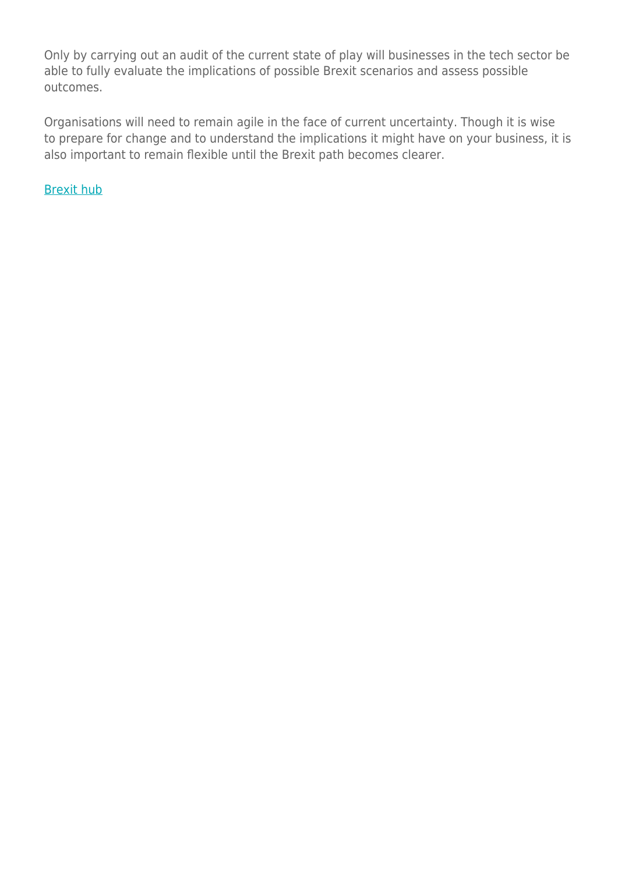Only by carrying out an audit of the current state of play will businesses in the tech sector be able to fully evaluate the implications of possible Brexit scenarios and assess possible outcomes.

Organisations will need to remain agile in the face of current uncertainty. Though it is wise to prepare for change and to understand the implications it might have on your business, it is also important to remain flexible until the Brexit path becomes clearer.

[Brexit hub](https://www.herbertsmithfreehills.com/brexit)